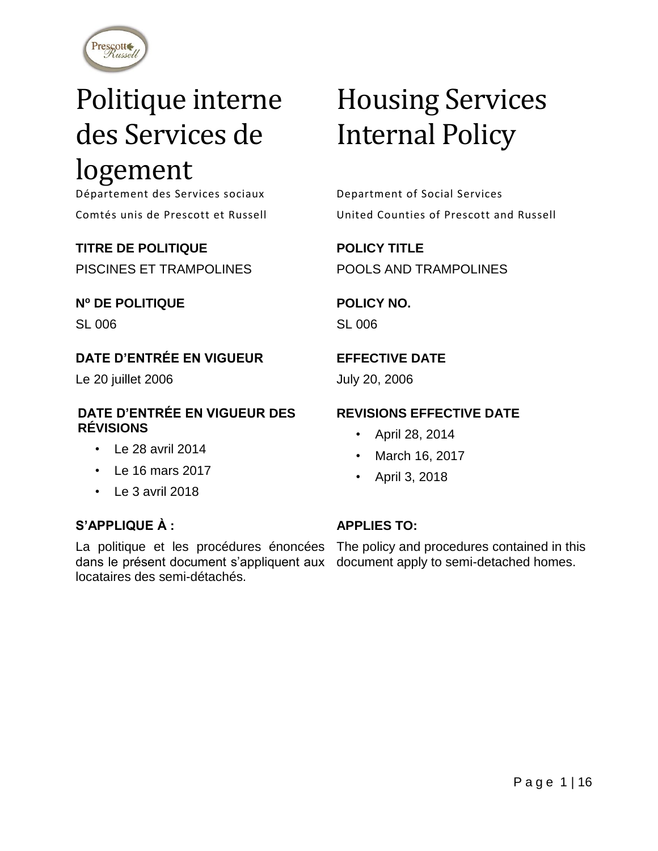

## Politique interne des Services de logement

Département des Services sociaux Department of Social Services

## **TITRE DE POLITIQUE**

PISCINES ET TRAMPOLINES

## **N<sup>o</sup> DE POLITIQUE**

SL 006

## **DATE D'ENTRÉE EN VIGUEUR**

Le 20 juillet 2006

### **DATE D'ENTRÉE EN VIGUEUR DES RÉVISIONS**

- Le 28 avril 2014
- Le 16 mars 2017
- Le 3 avril 2018

## **S'APPLIQUE À :**

dans le présent document s'appliquent aux document apply to semi-detached homes.locataires des semi-détachés.

# Housing Services Internal Policy

Comtés unis de Prescott et Russell United Counties of Prescott and Russell

**POLICY TITLE** POOLS AND TRAMPOLINES

## **POLICY NO.**

SL 006

## **EFFECTIVE DATE**

July 20, 2006

## **REVISIONS EFFECTIVE DATE**

- April 28, 2014
- March 16, 2017
- April 3, 2018

## **APPLIES TO:**

La politique et les procédures énoncées The policy and procedures contained in this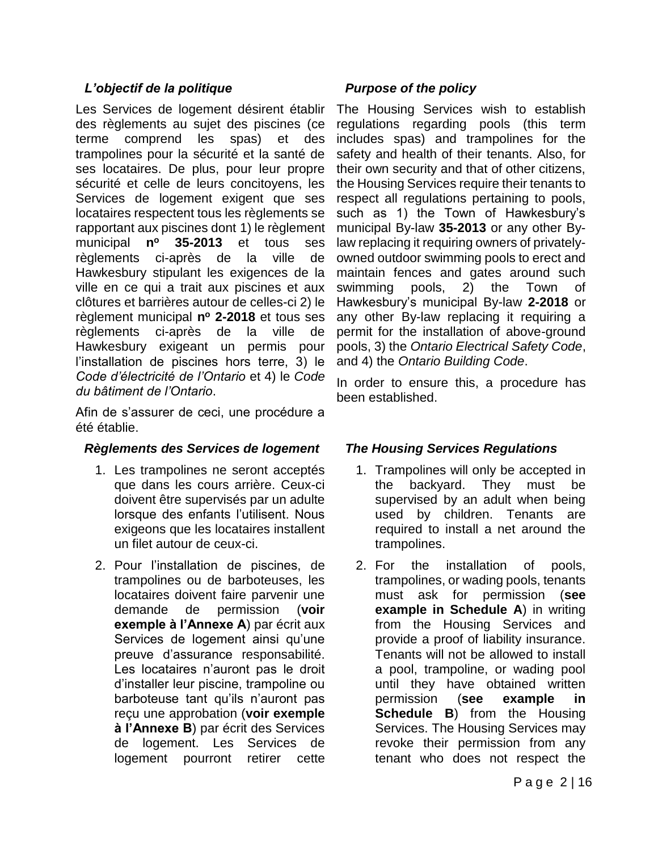## *L'objectif de la politique*

Les Services de logement désirent établir des règlements au sujet des piscines (ce terme comprend les spas) et des trampolines pour la sécurité et la santé de ses locataires. De plus, pour leur propre sécurité et celle de leurs concitoyens, les Services de logement exigent que ses locataires respectent tous les règlements se rapportant aux piscines dont 1) le règlement municipal **n <sup>o</sup> 35-2013** et tous ses règlements ci-après de la ville de Hawkesbury stipulant les exigences de la ville en ce qui a trait aux piscines et aux clôtures et barrières autour de celles-ci 2) le règlement municipal **n <sup>o</sup> 2-2018** et tous ses règlements ci-après de la ville de Hawkesbury exigeant un permis pour l'installation de piscines hors terre, 3) le *Code d'électricité de l'Ontario* et 4) le *Code du bâtiment de l'Ontario*.

Afin de s'assurer de ceci, une procédure a été établie.

#### *Règlements des Services de logement*

- 1. Les trampolines ne seront acceptés que dans les cours arrière. Ceux-ci doivent être supervisés par un adulte lorsque des enfants l'utilisent. Nous exigeons que les locataires installent un filet autour de ceux-ci.
- 2. Pour l'installation de piscines, de trampolines ou de barboteuses, les locataires doivent faire parvenir une demande de permission (**voir exemple à l'Annexe A**) par écrit aux Services de logement ainsi qu'une preuve d'assurance responsabilité. Les locataires n'auront pas le droit d'installer leur piscine, trampoline ou barboteuse tant qu'ils n'auront pas reçu une approbation (**voir exemple à l'Annexe B**) par écrit des Services de logement. Les Services de logement pourront retirer cette

## *Purpose of the policy*

The Housing Services wish to establish regulations regarding pools (this term includes spas) and trampolines for the safety and health of their tenants. Also, for their own security and that of other citizens, the Housing Services require their tenants to respect all regulations pertaining to pools, such as 1) the Town of Hawkesbury's municipal By-law **35-2013** or any other Bylaw replacing it requiring owners of privatelyowned outdoor swimming pools to erect and maintain fences and gates around such swimming pools, 2) the Town of Hawkesbury's municipal By-law **2-2018** or any other By-law replacing it requiring a permit for the installation of above-ground pools, 3) the *Ontario Electrical Safety Code*, and 4) the *Ontario Building Code*.

In order to ensure this, a procedure has been established.

## *The Housing Services Regulations*

- 1. Trampolines will only be accepted in the backyard. They must be supervised by an adult when being used by children. Tenants are required to install a net around the trampolines.
- 2. For the installation of pools, trampolines, or wading pools, tenants must ask for permission (**see example in Schedule A**) in writing from the Housing Services and provide a proof of liability insurance. Tenants will not be allowed to install a pool, trampoline, or wading pool until they have obtained written permission (**see example in Schedule B**) from the Housing Services. The Housing Services may revoke their permission from any tenant who does not respect the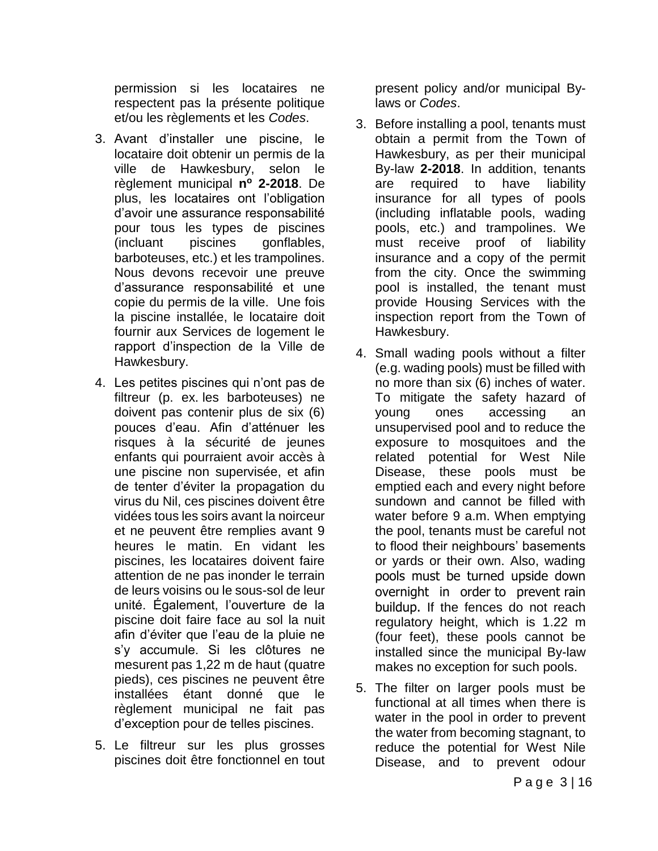permission si les locataires ne respectent pas la présente politique et/ou les règlements et les *Codes*.

- 3. Avant d'installer une piscine, le locataire doit obtenir un permis de la ville de Hawkesbury, selon le règlement municipal **n <sup>o</sup> 2-2018**. De plus, les locataires ont l'obligation d'avoir une assurance responsabilité pour tous les types de piscines (incluant piscines gonflables, barboteuses, etc.) et les trampolines. Nous devons recevoir une preuve d'assurance responsabilité et une copie du permis de la ville. Une fois la piscine installée, le locataire doit fournir aux Services de logement le rapport d'inspection de la Ville de Hawkesbury.
- 4. Les petites piscines qui n'ont pas de filtreur (p. ex. les barboteuses) ne doivent pas contenir plus de six (6) pouces d'eau. Afin d'atténuer les risques à la sécurité de jeunes enfants qui pourraient avoir accès à une piscine non supervisée, et afin de tenter d'éviter la propagation du virus du Nil, ces piscines doivent être vidées tous les soirs avant la noirceur et ne peuvent être remplies avant 9 heures le matin. En vidant les piscines, les locataires doivent faire attention de ne pas inonder le terrain de leurs voisins ou le sous-sol de leur unité. Également, l'ouverture de la piscine doit faire face au sol la nuit afin d'éviter que l'eau de la pluie ne s'y accumule. Si les clôtures ne mesurent pas 1,22 m de haut (quatre pieds), ces piscines ne peuvent être installées étant donné que le règlement municipal ne fait pas d'exception pour de telles piscines.
- 5. Le filtreur sur les plus grosses piscines doit être fonctionnel en tout

present policy and/or municipal Bylaws or *Codes*.

- 3. Before installing a pool, tenants must obtain a permit from the Town of Hawkesbury, as per their municipal By-law **2-2018**. In addition, tenants are required to have liability insurance for all types of pools (including inflatable pools, wading pools, etc.) and trampolines. We must receive proof of liability insurance and a copy of the permit from the city. Once the swimming pool is installed, the tenant must provide Housing Services with the inspection report from the Town of Hawkesbury.
- 4. Small wading pools without a filter (e.g. wading pools) must be filled with no more than six (6) inches of water. To mitigate the safety hazard of young ones accessing an unsupervised pool and to reduce the exposure to mosquitoes and the related potential for West Nile Disease, these pools must be emptied each and every night before sundown and cannot be filled with water before 9 a.m. When emptying the pool, tenants must be careful not to flood their neighbours' basements or yards or their own. Also, wading pools must be turned upside down overnight in order to prevent rain buildup. If the fences do not reach regulatory height, which is 1.22 m (four feet), these pools cannot be installed since the municipal By-law makes no exception for such pools.
- 5. The filter on larger pools must be functional at all times when there is water in the pool in order to prevent the water from becoming stagnant, to reduce the potential for West Nile Disease, and to prevent odour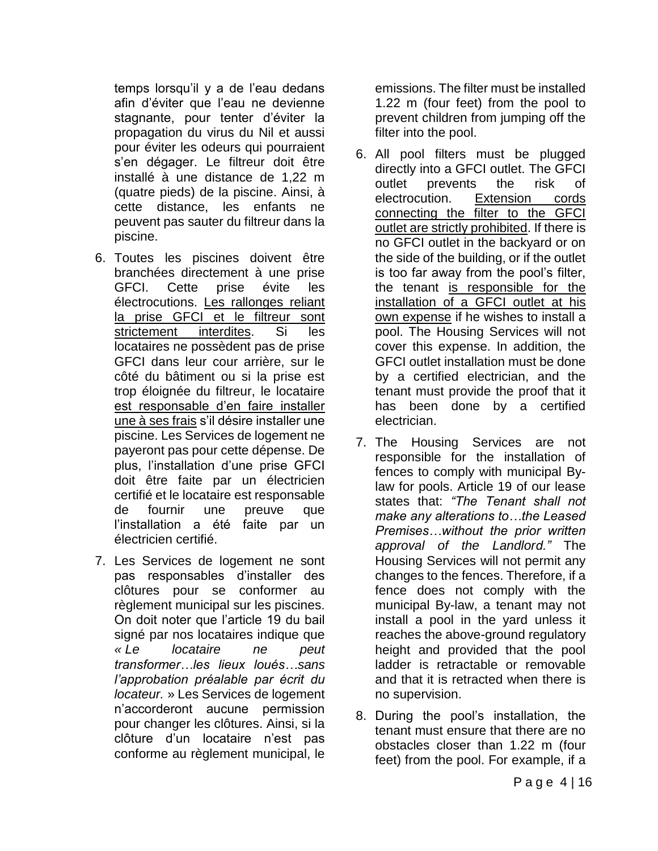temps lorsqu'il y a de l'eau dedans afin d'éviter que l'eau ne devienne stagnante, pour tenter d'éviter la propagation du virus du Nil et aussi pour éviter les odeurs qui pourraient s'en dégager. Le filtreur doit être installé à une distance de 1,22 m (quatre pieds) de la piscine. Ainsi, à cette distance, les enfants ne peuvent pas sauter du filtreur dans la piscine.

- 6. Toutes les piscines doivent être branchées directement à une prise GFCI. Cette prise évite les électrocutions. Les rallonges reliant la prise GFCI et le filtreur sont strictement interdites. Si les locataires ne possèdent pas de prise GFCI dans leur cour arrière, sur le côté du bâtiment ou si la prise est trop éloignée du filtreur, le locataire est responsable d'en faire installer une à ses frais s'il désire installer une piscine. Les Services de logement ne payeront pas pour cette dépense. De plus, l'installation d'une prise GFCI doit être faite par un électricien certifié et le locataire est responsable de fournir une preuve que l'installation a été faite par un électricien certifié.
- 7. Les Services de logement ne sont pas responsables d'installer des clôtures pour se conformer au règlement municipal sur les piscines. On doit noter que l'article 19 du bail signé par nos locataires indique que *« Le locataire ne peut transformer…les lieux loués…sans l'approbation préalable par écrit du locateur.* » Les Services de logement n'accorderont aucune permission pour changer les clôtures. Ainsi, si la clôture d'un locataire n'est pas conforme au règlement municipal, le

emissions. The filter must be installed 1.22 m (four feet) from the pool to prevent children from jumping off the filter into the pool.

- 6. All pool filters must be plugged directly into a GFCI outlet. The GFCI outlet prevents the risk of electrocution. Extension cords connecting the filter to the GFCI outlet are strictly prohibited. If there is no GFCI outlet in the backyard or on the side of the building, or if the outlet is too far away from the pool's filter, the tenant is responsible for the installation of a GFCI outlet at his own expense if he wishes to install a pool. The Housing Services will not cover this expense. In addition, the GFCI outlet installation must be done by a certified electrician, and the tenant must provide the proof that it has been done by a certified electrician.
- 7. The Housing Services are not responsible for the installation of fences to comply with municipal Bylaw for pools. Article 19 of our lease states that: *"The Tenant shall not make any alterations to…the Leased Premises…without the prior written approval of the Landlord."* The Housing Services will not permit any changes to the fences. Therefore, if a fence does not comply with the municipal By-law, a tenant may not install a pool in the yard unless it reaches the above-ground regulatory height and provided that the pool ladder is retractable or removable and that it is retracted when there is no supervision.
- 8. During the pool's installation, the tenant must ensure that there are no obstacles closer than 1.22 m (four feet) from the pool. For example, if a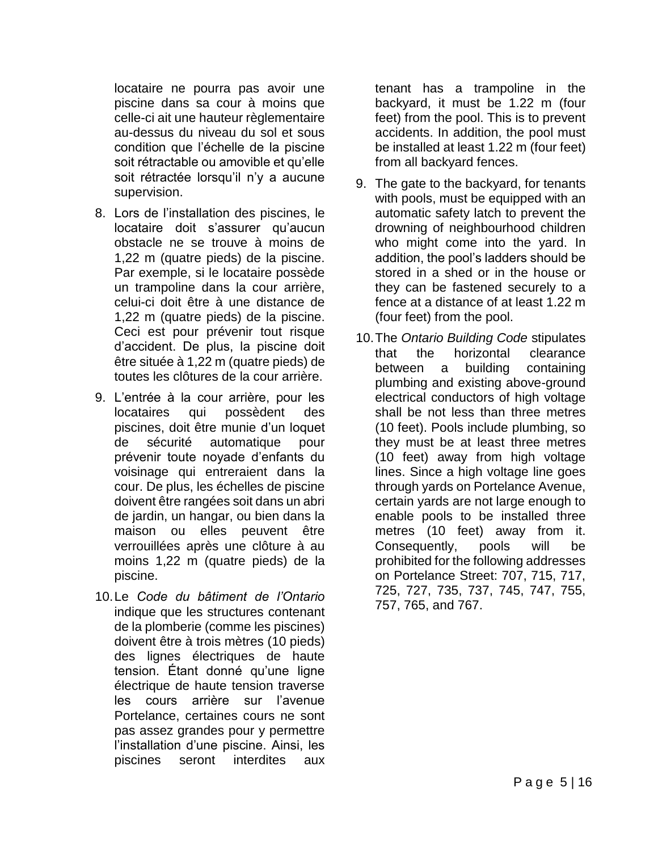locataire ne pourra pas avoir une piscine dans sa cour à moins que celle-ci ait une hauteur règlementaire au-dessus du niveau du sol et sous condition que l'échelle de la piscine soit rétractable ou amovible et qu'elle soit rétractée lorsqu'il n'y a aucune supervision.

- 8. Lors de l'installation des piscines, le locataire doit s'assurer qu'aucun obstacle ne se trouve à moins de 1,22 m (quatre pieds) de la piscine. Par exemple, si le locataire possède un trampoline dans la cour arrière, celui-ci doit être à une distance de 1,22 m (quatre pieds) de la piscine. Ceci est pour prévenir tout risque d'accident. De plus, la piscine doit être située à 1,22 m (quatre pieds) de toutes les clôtures de la cour arrière.
- 9. L'entrée à la cour arrière, pour les locataires qui possèdent des piscines, doit être munie d'un loquet de sécurité automatique pour prévenir toute noyade d'enfants du voisinage qui entreraient dans la cour. De plus, les échelles de piscine doivent être rangées soit dans un abri de jardin, un hangar, ou bien dans la maison ou elles peuvent être verrouillées après une clôture à au moins 1,22 m (quatre pieds) de la piscine.
- 10.Le *Code du bâtiment de l'Ontario* indique que les structures contenant de la plomberie (comme les piscines) doivent être à trois mètres (10 pieds) des lignes électriques de haute tension. Étant donné qu'une ligne électrique de haute tension traverse les cours arrière sur l'avenue Portelance, certaines cours ne sont pas assez grandes pour y permettre l'installation d'une piscine. Ainsi, les piscines seront interdites aux

tenant has a trampoline in the backyard, it must be 1.22 m (four feet) from the pool. This is to prevent accidents. In addition, the pool must be installed at least 1.22 m (four feet) from all backyard fences.

- 9. The gate to the backyard, for tenants with pools, must be equipped with an automatic safety latch to prevent the drowning of neighbourhood children who might come into the yard. In addition, the pool's ladders should be stored in a shed or in the house or they can be fastened securely to a fence at a distance of at least 1.22 m (four feet) from the pool.
- 10.The *Ontario Building Code* stipulates that the horizontal clearance between a building containing plumbing and existing above-ground electrical conductors of high voltage shall be not less than three metres (10 feet). Pools include plumbing, so they must be at least three metres (10 feet) away from high voltage lines. Since a high voltage line goes through yards on Portelance Avenue, certain yards are not large enough to enable pools to be installed three metres (10 feet) away from it. Consequently, pools will be prohibited for the following addresses on Portelance Street: 707, 715, 717, 725, 727, 735, 737, 745, 747, 755, 757, 765, and 767.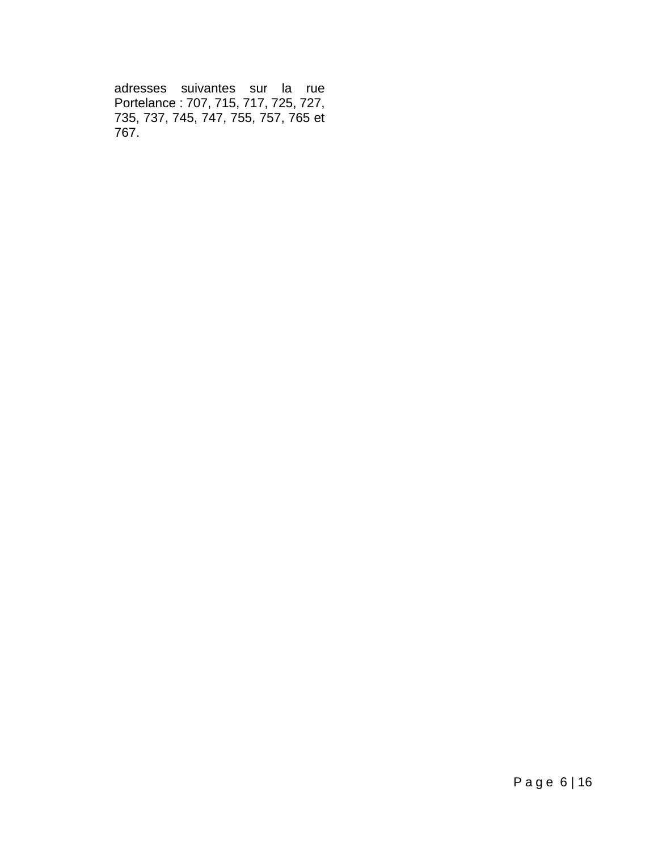adresses suivantes sur la rue Portelance : 707, 715, 717, 725, 727, 735, 737, 745, 747, 755, 757, 765 et 767.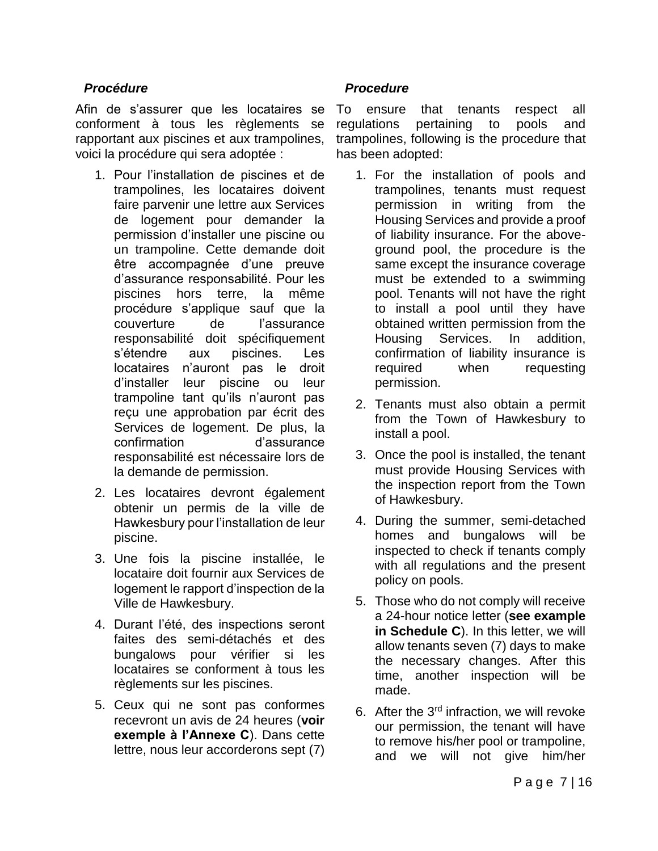#### *Procédure*

Afin de s'assurer que les locataires se conforment à tous les règlements se rapportant aux piscines et aux trampolines, voici la procédure qui sera adoptée :

- 1. Pour l'installation de piscines et de trampolines, les locataires doivent faire parvenir une lettre aux Services de logement pour demander la permission d'installer une piscine ou un trampoline. Cette demande doit être accompagnée d'une preuve d'assurance responsabilité. Pour les piscines hors terre, la même procédure s'applique sauf que la couverture de l'assurance responsabilité doit spécifiquement s'étendre aux piscines. Les locataires n'auront pas le droit d'installer leur piscine ou leur trampoline tant qu'ils n'auront pas reçu une approbation par écrit des Services de logement. De plus, la confirmation d'assurance responsabilité est nécessaire lors de la demande de permission.
- 2. Les locataires devront également obtenir un permis de la ville de Hawkesbury pour l'installation de leur piscine.
- 3. Une fois la piscine installée, le locataire doit fournir aux Services de logement le rapport d'inspection de la Ville de Hawkesbury.
- 4. Durant l'été, des inspections seront faites des semi-détachés et des bungalows pour vérifier si les locataires se conforment à tous les règlements sur les piscines.
- 5. Ceux qui ne sont pas conformes recevront un avis de 24 heures (**voir exemple à l'Annexe C**). Dans cette lettre, nous leur accorderons sept (7)

#### *Procedure*

To ensure that tenants respect all regulations pertaining to pools and trampolines, following is the procedure that has been adopted:

- 1. For the installation of pools and trampolines, tenants must request permission in writing from the Housing Services and provide a proof of liability insurance. For the aboveground pool, the procedure is the same except the insurance coverage must be extended to a swimming pool. Tenants will not have the right to install a pool until they have obtained written permission from the Housing Services. In addition, confirmation of liability insurance is required when requesting permission.
- 2. Tenants must also obtain a permit from the Town of Hawkesbury to install a pool.
- 3. Once the pool is installed, the tenant must provide Housing Services with the inspection report from the Town of Hawkesbury.
- 4. During the summer, semi-detached homes and bungalows will be inspected to check if tenants comply with all regulations and the present policy on pools.
- 5. Those who do not comply will receive a 24-hour notice letter (**see example in Schedule C**). In this letter, we will allow tenants seven (7) days to make the necessary changes. After this time, another inspection will be made.
- 6. After the  $3<sup>rd</sup>$  infraction, we will revoke our permission, the tenant will have to remove his/her pool or trampoline, and we will not give him/her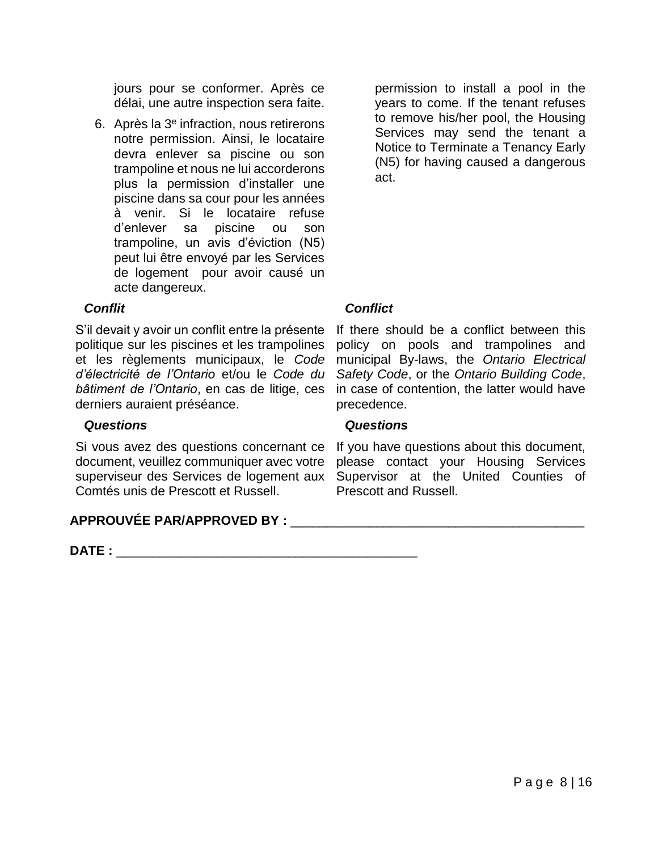jours pour se conformer. Après ce délai, une autre inspection sera faite.

6. Après la 3<sup>e</sup> infraction, nous retirerons notre permission. Ainsi, le locataire devra enlever sa piscine ou son trampoline et nous ne lui accorderons plus la permission d'installer une piscine dans sa cour pour les années à venir. Si le locataire refuse d'enlever sa piscine ou son trampoline, un avis d'éviction (N5) peut lui être envoyé par les Services de logement pour avoir causé un acte dangereux.

permission to install a pool in the years to come. If the tenant refuses to remove his/her pool, the Housing Services may send the tenant a Notice to Terminate a Tenancy Early (N5) for having caused a dangerous act.

## *Conflit*

S'il devait y avoir un conflit entre la présente politique sur les piscines et les trampolines et les règlements municipaux, le *Code d'électricité de l'Ontario* et/ou le *Code du bâtiment de l'Ontario*, en cas de litige, ces derniers auraient préséance.

#### *Questions*

Si vous avez des questions concernant ce document, veuillez communiquer avec votre superviseur des Services de logement aux Supervisor at the United Counties of Comtés unis de Prescott et Russell.

#### **APPROUVÉE PAR/APPROVED BY :** \_\_\_\_\_\_\_\_\_\_\_\_\_\_\_\_\_\_\_\_\_\_\_\_\_\_\_\_\_\_\_\_\_\_\_\_\_\_\_\_\_

**DATE :** \_\_\_\_\_\_\_\_\_\_\_\_\_\_\_\_\_\_\_\_\_\_\_\_\_\_\_\_\_\_\_\_\_\_\_\_\_\_\_\_\_\_

#### *Conflict*

If there should be a conflict between this policy on pools and trampolines and municipal By-laws, the *Ontario Electrical Safety Code*, or the *Ontario Building Code*, in case of contention, the latter would have precedence.

#### *Questions*

If you have questions about this document, please contact your Housing Services Prescott and Russell.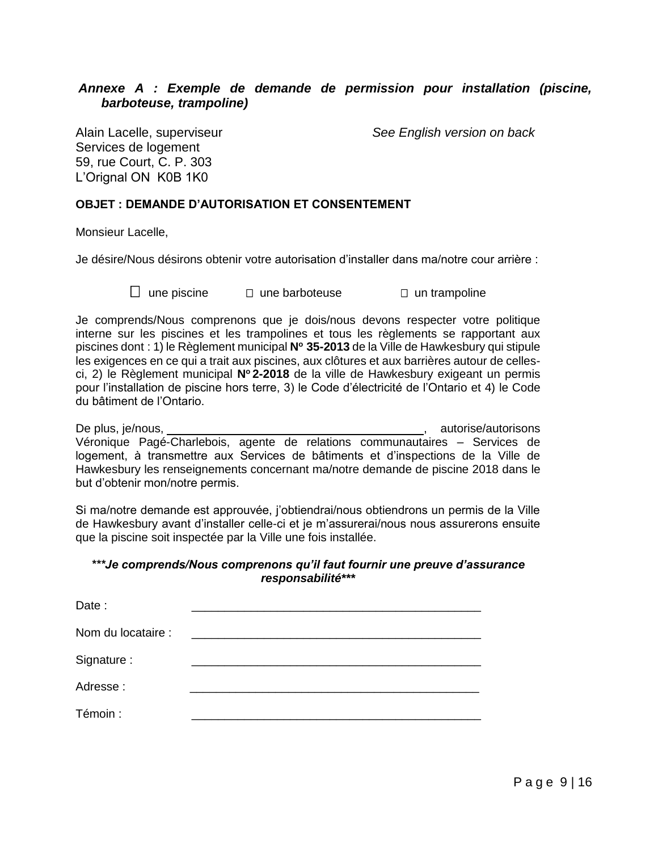#### *Annexe A : Exemple de demande de permission pour installation (piscine, barboteuse, trampoline)*

Services de logement 59, rue Court, C. P. 303 L'Orignal ON K0B 1K0

Alain Lacelle, superviseur *See English version on back*

#### **OBJET : DEMANDE D'AUTORISATION ET CONSENTEMENT**

Monsieur Lacelle,

Je désire/Nous désirons obtenir votre autorisation d'installer dans ma/notre cour arrière :

une piscine une barboteuse un trampoline

Je comprends/Nous comprenons que je dois/nous devons respecter votre politique interne sur les piscines et les trampolines et tous les règlements se rapportant aux piscines dont : 1) le Règlement municipal **N<sup>o</sup> 35-2013** de la Ville de Hawkesbury qui stipule les exigences en ce qui a trait aux piscines, aux clôtures et aux barrières autour de cellesci, 2) le Règlement municipal **N<sup>o</sup> 2-2018** de la ville de Hawkesbury exigeant un permis pour l'installation de piscine hors terre, 3) le Code d'électricité de l'Ontario et 4) le Code du bâtiment de l'Ontario.

De plus, je/nous,  $\overline{a}$  is a set of the plus of the plus, is autorise/autorisons of the plus, is autorised by  $\overline{a}$  autorise/autorisons of the plus of the plus of the plus of the plus of the plus of the plus of the p Véronique Pagé-Charlebois, agente de relations communautaires – Services de logement, à transmettre aux Services de bâtiments et d'inspections de la Ville de Hawkesbury les renseignements concernant ma/notre demande de piscine 2018 dans le but d'obtenir mon/notre permis.

Si ma/notre demande est approuvée, j'obtiendrai/nous obtiendrons un permis de la Ville de Hawkesbury avant d'installer celle-ci et je m'assurerai/nous nous assurerons ensuite que la piscine soit inspectée par la Ville une fois installée.

#### *\*\*\*Je comprends/Nous comprenons qu'il faut fournir une preuve d'assurance responsabilité\*\*\**

| Date:              |  |
|--------------------|--|
| Nom du locataire : |  |
| Signature:         |  |
| Adresse:           |  |
| Témoin :           |  |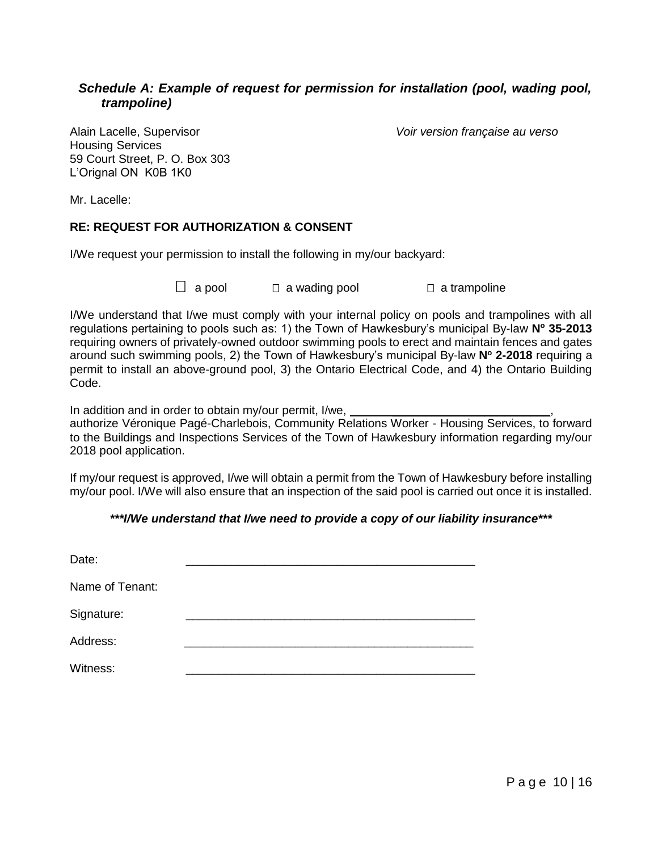#### *Schedule A: Example of request for permission for installation (pool, wading pool, trampoline)*

Housing Services 59 Court Street, P. O. Box 303 L'Orignal ON K0B 1K0

Alain Lacelle, Supervisor *Voir version française au verso*

Mr. Lacelle:

#### **RE: REQUEST FOR AUTHORIZATION & CONSENT**

I/We request your permission to install the following in my/our backyard:

a pool a wading pool a trampoline

I/We understand that I/we must comply with your internal policy on pools and trampolines with all regulations pertaining to pools such as: 1) the Town of Hawkesbury's municipal By-law **N<sup>o</sup> 35-2013** requiring owners of privately-owned outdoor swimming pools to erect and maintain fences and gates around such swimming pools, 2) the Town of Hawkesbury's municipal By-law **N<sup>o</sup> 2-2018** requiring a permit to install an above-ground pool, 3) the Ontario Electrical Code, and 4) the Ontario Building Code.

In addition and in order to obtain my/our permit, I/we,

authorize Véronique Pagé-Charlebois, Community Relations Worker - Housing Services, to forward to the Buildings and Inspections Services of the Town of Hawkesbury information regarding my/our 2018 pool application.

If my/our request is approved, I/we will obtain a permit from the Town of Hawkesbury before installing my/our pool. I/We will also ensure that an inspection of the said pool is carried out once it is installed.

#### *\*\*\*I/We understand that I/we need to provide a copy of our liability insurance\*\*\**

| Date:           |  |
|-----------------|--|
| Name of Tenant: |  |
| Signature:      |  |
| Address:        |  |
| Witness:        |  |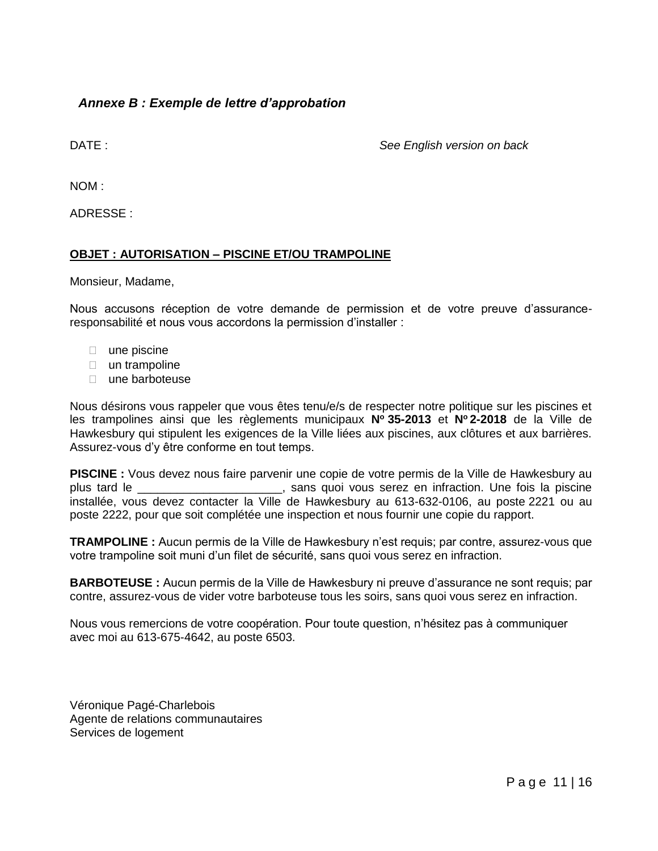#### *Annexe B : Exemple de lettre d'approbation*

DATE : *See English version on back* 

NOM :

ADRESSE :

#### **OBJET : AUTORISATION – PISCINE ET/OU TRAMPOLINE**

Monsieur, Madame,

Nous accusons réception de votre demande de permission et de votre preuve d'assuranceresponsabilité et nous vous accordons la permission d'installer :

- $\Box$  une piscine
- $\Box$  un trampoline
- une barboteuse

Nous désirons vous rappeler que vous êtes tenu/e/s de respecter notre politique sur les piscines et les trampolines ainsi que les règlements municipaux **N<sup>o</sup> 35-2013** et **N<sup>o</sup> 2-2018** de la Ville de Hawkesbury qui stipulent les exigences de la Ville liées aux piscines, aux clôtures et aux barrières. Assurez-vous d'y être conforme en tout temps.

**PISCINE :** Vous devez nous faire parvenir une copie de votre permis de la Ville de Hawkesbury au plus tard le \_\_\_\_\_\_\_\_\_\_\_\_\_\_\_\_\_\_\_\_\_\_, sans quoi vous serez en infraction. Une fois la piscine installée, vous devez contacter la Ville de Hawkesbury au 613-632-0106, au poste 2221 ou au poste 2222, pour que soit complétée une inspection et nous fournir une copie du rapport.

**TRAMPOLINE :** Aucun permis de la Ville de Hawkesbury n'est requis; par contre, assurez-vous que votre trampoline soit muni d'un filet de sécurité, sans quoi vous serez en infraction.

**BARBOTEUSE :** Aucun permis de la Ville de Hawkesbury ni preuve d'assurance ne sont requis; par contre, assurez-vous de vider votre barboteuse tous les soirs, sans quoi vous serez en infraction.

Nous vous remercions de votre coopération. Pour toute question, n'hésitez pas à communiquer avec moi au 613-675-4642, au poste 6503.

Véronique Pagé-Charlebois Agente de relations communautaires Services de logement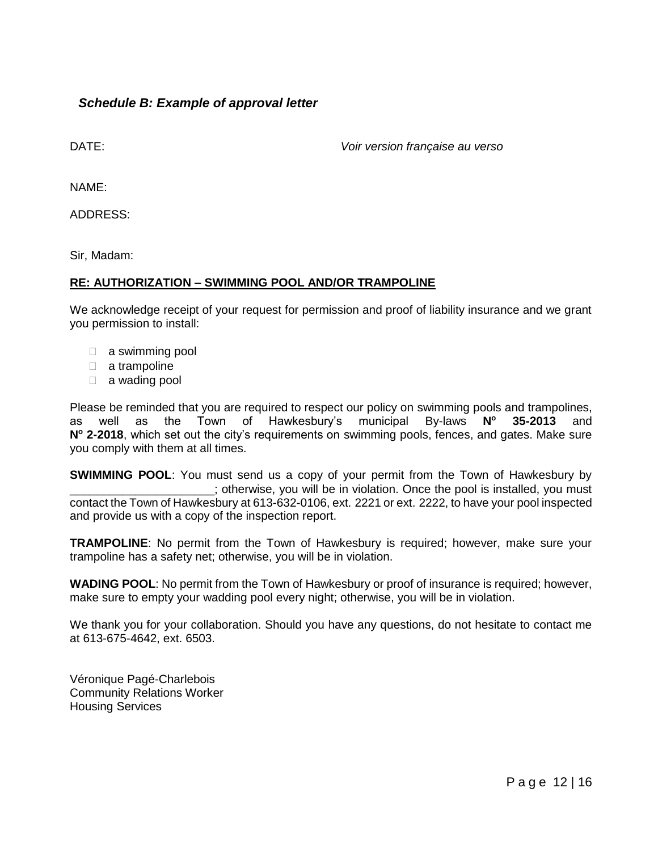#### *Schedule B: Example of approval letter*

DATE: *Voir version française au verso*

NAME:

ADDRESS:

Sir, Madam:

#### **RE: AUTHORIZATION – SWIMMING POOL AND/OR TRAMPOLINE**

We acknowledge receipt of your request for permission and proof of liability insurance and we grant you permission to install:

- $\Box$  a swimming pool
- a trampoline
- a wading pool

Please be reminded that you are required to respect our policy on swimming pools and trampolines, as well as the Town of Hawkesbury's municipal By-laws **N<sup>o</sup> 35-2013** and **N<sup>o</sup> 2-2018**, which set out the city's requirements on swimming pools, fences, and gates. Make sure you comply with them at all times.

**SWIMMING POOL:** You must send us a copy of your permit from the Town of Hawkesbury by \_\_\_\_\_\_\_\_\_\_\_\_\_\_\_\_\_\_\_\_\_\_; otherwise, you will be in violation. Once the pool is installed, you must contact the Town of Hawkesbury at 613-632-0106, ext. 2221 or ext. 2222, to have your pool inspected and provide us with a copy of the inspection report.

**TRAMPOLINE**: No permit from the Town of Hawkesbury is required; however, make sure your trampoline has a safety net; otherwise, you will be in violation.

**WADING POOL**: No permit from the Town of Hawkesbury or proof of insurance is required; however, make sure to empty your wadding pool every night; otherwise, you will be in violation.

We thank you for your collaboration. Should you have any questions, do not hesitate to contact me at 613-675-4642, ext. 6503.

Véronique Pagé-Charlebois Community Relations Worker Housing Services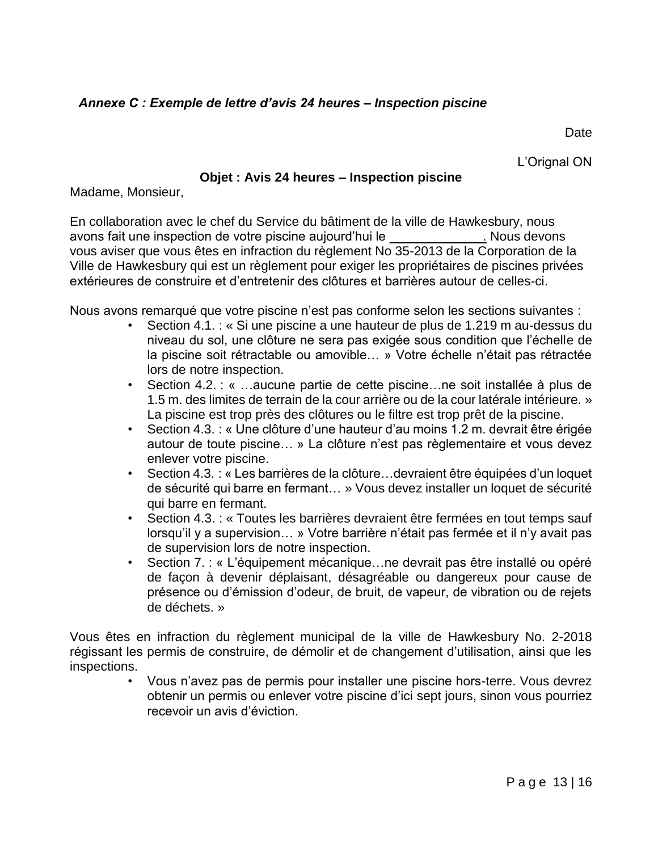## *Annexe C : Exemple de lettre d'avis 24 heures – Inspection piscine*

**Date** 

L'Orignal ON

#### **Objet : Avis 24 heures – Inspection piscine**

Madame, Monsieur,

En collaboration avec le chef du Service du bâtiment de la ville de Hawkesbury, nous avons fait une inspection de votre piscine aujourd'hui le \_\_\_\_\_\_\_\_\_\_\_\_\_. Nous devons vous aviser que vous êtes en infraction du règlement No 35-2013 de la Corporation de la Ville de Hawkesbury qui est un règlement pour exiger les propriétaires de piscines privées extérieures de construire et d'entretenir des clôtures et barrières autour de celles-ci.

Nous avons remarqué que votre piscine n'est pas conforme selon les sections suivantes :

- Section 4.1. : « Si une piscine a une hauteur de plus de 1.219 m au-dessus du niveau du sol, une clôture ne sera pas exigée sous condition que l'échelle de la piscine soit rétractable ou amovible… » Votre échelle n'était pas rétractée lors de notre inspection.
- Section 4.2. : « …aucune partie de cette piscine…ne soit installée à plus de 1.5 m. des limites de terrain de la cour arrière ou de la cour latérale intérieure. » La piscine est trop près des clôtures ou le filtre est trop prêt de la piscine.
- Section 4.3. : « Une clôture d'une hauteur d'au moins 1.2 m. devrait être érigée autour de toute piscine… » La clôture n'est pas règlementaire et vous devez enlever votre piscine.
- Section 4.3. : « Les barrières de la clôture…devraient être équipées d'un loquet de sécurité qui barre en fermant… » Vous devez installer un loquet de sécurité qui barre en fermant.
- Section 4.3. : « Toutes les barrières devraient être fermées en tout temps sauf lorsqu'il y a supervision… » Votre barrière n'était pas fermée et il n'y avait pas de supervision lors de notre inspection.
- Section 7. : « L'équipement mécanique…ne devrait pas être installé ou opéré de façon à devenir déplaisant, désagréable ou dangereux pour cause de présence ou d'émission d'odeur, de bruit, de vapeur, de vibration ou de rejets de déchets. »

Vous êtes en infraction du règlement municipal de la ville de Hawkesbury No. 2-2018 régissant les permis de construire, de démolir et de changement d'utilisation, ainsi que les inspections.

• Vous n'avez pas de permis pour installer une piscine hors-terre. Vous devrez obtenir un permis ou enlever votre piscine d'ici sept jours, sinon vous pourriez recevoir un avis d'éviction.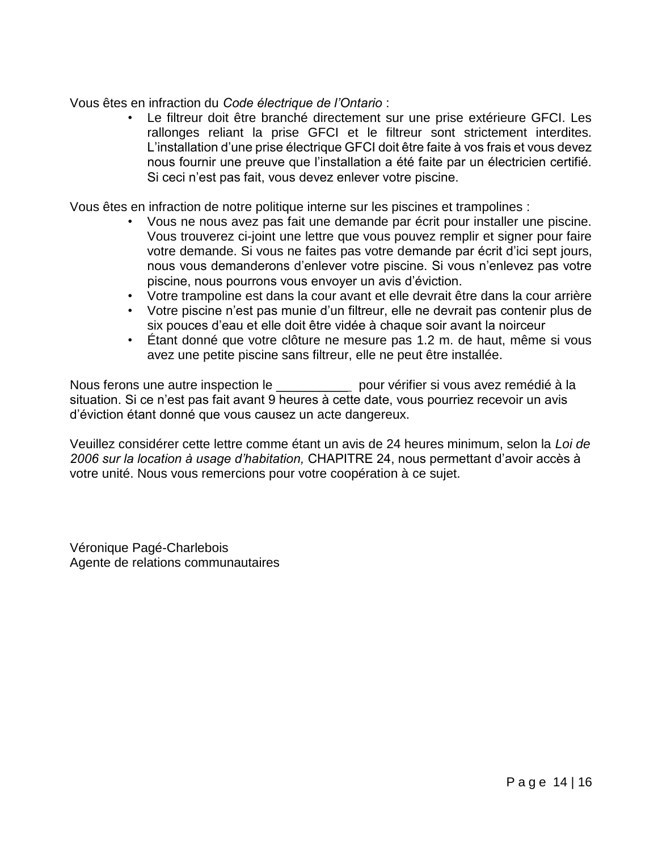Vous êtes en infraction du *Code électrique de l'Ontario* :

Le filtreur doit être branché directement sur une prise extérieure GFCI. Les rallonges reliant la prise GFCI et le filtreur sont strictement interdites. L'installation d'une prise électrique GFCI doit être faite à vos frais et vous devez nous fournir une preuve que l'installation a été faite par un électricien certifié. Si ceci n'est pas fait, vous devez enlever votre piscine.

Vous êtes en infraction de notre politique interne sur les piscines et trampolines :

- Vous ne nous avez pas fait une demande par écrit pour installer une piscine. Vous trouverez ci-joint une lettre que vous pouvez remplir et signer pour faire votre demande. Si vous ne faites pas votre demande par écrit d'ici sept jours, nous vous demanderons d'enlever votre piscine. Si vous n'enlevez pas votre piscine, nous pourrons vous envoyer un avis d'éviction.
- Votre trampoline est dans la cour avant et elle devrait être dans la cour arrière
- Votre piscine n'est pas munie d'un filtreur, elle ne devrait pas contenir plus de six pouces d'eau et elle doit être vidée à chaque soir avant la noirceur
- Étant donné que votre clôture ne mesure pas 1.2 m. de haut, même si vous avez une petite piscine sans filtreur, elle ne peut être installée.

Nous ferons une autre inspection le \_\_\_\_\_\_\_\_\_\_ pour vérifier si vous avez remédié à la situation. Si ce n'est pas fait avant 9 heures à cette date, vous pourriez recevoir un avis d'éviction étant donné que vous causez un acte dangereux.

Veuillez considérer cette lettre comme étant un avis de 24 heures minimum, selon la *Loi de 2006 sur la location à usage d'habitation,* CHAPITRE 24, nous permettant d'avoir accès à votre unité. Nous vous remercions pour votre coopération à ce sujet.

Véronique Pagé-Charlebois Agente de relations communautaires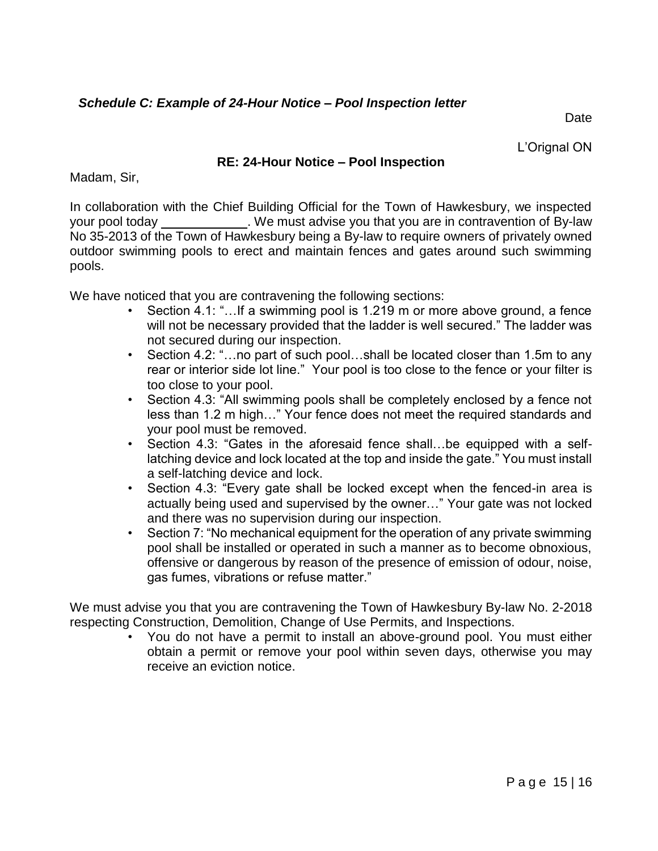Date

L'Orignal ON

## **RE: 24-Hour Notice – Pool Inspection**

Madam, Sir,

In collaboration with the Chief Building Official for the Town of Hawkesbury, we inspected your pool today \_\_\_\_\_\_\_\_\_\_\_\_. We must advise you that you are in contravention of By-law No 35-2013 of the Town of Hawkesbury being a By-law to require owners of privately owned outdoor swimming pools to erect and maintain fences and gates around such swimming pools.

We have noticed that you are contravening the following sections:

- Section 4.1: "…If a swimming pool is 1.219 m or more above ground, a fence will not be necessary provided that the ladder is well secured." The ladder was not secured during our inspection.
- Section 4.2: "...no part of such pool...shall be located closer than 1.5m to any rear or interior side lot line." Your pool is too close to the fence or your filter is too close to your pool.
- Section 4.3: "All swimming pools shall be completely enclosed by a fence not less than 1.2 m high…" Your fence does not meet the required standards and your pool must be removed.
- Section 4.3: "Gates in the aforesaid fence shall…be equipped with a selflatching device and lock located at the top and inside the gate." You must install a self-latching device and lock.
- Section 4.3: "Every gate shall be locked except when the fenced-in area is actually being used and supervised by the owner…" Your gate was not locked and there was no supervision during our inspection.
- Section 7: "No mechanical equipment for the operation of any private swimming pool shall be installed or operated in such a manner as to become obnoxious, offensive or dangerous by reason of the presence of emission of odour, noise, gas fumes, vibrations or refuse matter."

We must advise you that you are contravening the Town of Hawkesbury By-law No. 2-2018 respecting Construction, Demolition, Change of Use Permits, and Inspections.

• You do not have a permit to install an above-ground pool. You must either obtain a permit or remove your pool within seven days, otherwise you may receive an eviction notice.